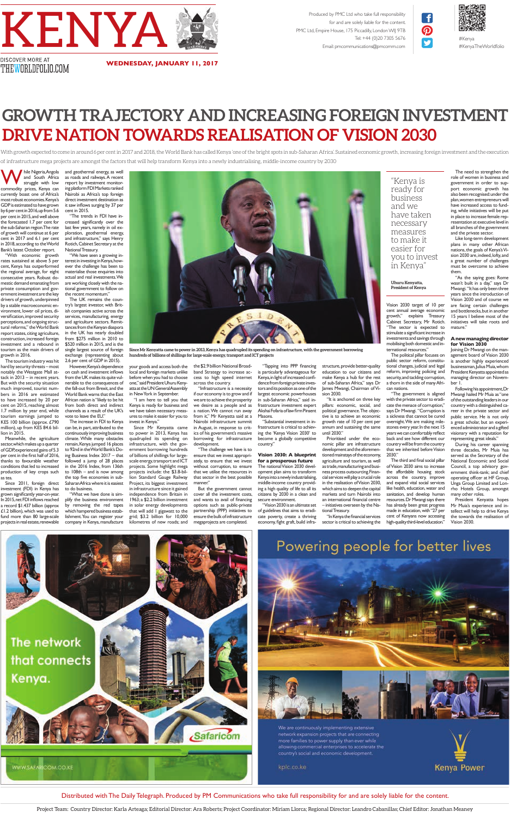**W** hile Nigeria, Angola<br>
south Africa<br>
commodity prices, Kenya can and South Africa struggle with low currently boast one of Africa's most robust economies. Kenya's GDP is estimated to have grown by 6 per cent in 2016, up from 5.6 per cent in 2015, and well above the forecasted 1.7 per cent for the sub-Saharan region. The rate of growth will continue at 6 per cent in 2017 and 6.1 per cent in 2018, according to the World Bank's latest October report.

"With economic growth rates sustained at above 5 per cent, Kenya has outperformed the regional average, for eight consecutive years. Robust domestic demand emanating from private consumption and government investment are the key drivers of growth, underpinned by a stable macroeconomic environment, lower oil prices, diversifcation, improved security perceptions, and ongoing structural reforms," the World Bank report states, citing agriculture, construction, increased foreign investment and a rebound in tourism as the main drivers of growth in 2016.

The tourism industry was hit hard by security threats – most notably the Westgate Mall attack in 2013 – in recent years. But with the security situation much improved, tourist numbers in 2016 are estimated to have increased by 20 per cent on 2015, reaching almost 1.7 million by year end, while tourism earnings jumped to KES 100 billion (approx. £790 million), up from KES 84.6 billion in 2015.

Meanwhile, the agriculture sector, which makes up a quarter of GDP, experienced gains of 5.3 per cent in the frst half of 2016, .<br>thanks to favourable weather conditions that led to increased production of key crops such

as tea.

Since 2011, foreign direct investment (FDI) in Kenya has grown signifcantly year-on-year. In 2015, net FDI inflows reached a record \$1.437 billion (approx £1.2 billion), which was used to fund more than 80 large-scale projects in real estate, renewable

and geothermal energy, as well as roads and railways. A recent report by investment monitoring platform FDI Markets ranked Nairobi as Africa's top foreign direct investment destination as it saw inflows surging by 37 per cent in 2015.

"The trends in FDI have increased signifcantly over the last few years, namely in oil exploration, geothermal energy, and infrastructure," says Henry Rotich, Cabinet Secretary at the National Treasury.

"We have seen a growing interest in investing in Kenya, however the challenge has been to materialise those enquiries into actual and real investments. We are working closely with the national government to follow on the recent momentum."

The UK remains the country's largest investor, with British companies active across the services, manufacturing, energy and agriculture sectors. Remittances from the Kenyan diaspora in the UK has nearly doubled from \$275 million in 2010 to \$520 million in 2015, and is the single largest source of foreign exchange (representing about

2.6 per cent of GDP in 2015). However, Kenya's dependence on cash and investment inflows from the UK makes its quite vulnerable to the consequences of the fall-out from Brexit, and the World Bank warns that the East African nation is "likely to be hit from both direct and indirect channels as a result of the UK's vote to leave the EU."

The increase in FDI to Kenya can be, in part, attributed to the continuously improving business climate. While many obstacles remain, Kenya jumped 16 places to 92nd in the World Bank's Doing Business Index 2017 – that followed a jump of 28 places in the 2016 Index, from 136th to 108th – and is now among

your goods and access both the local and foreign markets unlike before when you had to choose one," said President Uhuru Kenyatta at the UN General Assembly in New York in September.

the top fve economies in sub-Saharan Africa where it is easiest to do business. lion Standard Gauge Railway Project, its biggest investment

"I am here to tell you that Kenya is ready for business and we have taken necessary measures to make it easier for you to invest in Kenya."

> The third and final social pillar of Vision 2030 aims to increase the affordable housing stock

"What we have done is simplify the business environment by removing the red tapes which hampered business establishment. You can register your company in Kenya, manufacture in infrastructure since it gained independence from Britain in 1963; a \$2.2 billion investment in solar energy developments that will add 1 gigawatt to the grid; \$3.2 billion for 10,000 kilometres of new roads; and

Since Mr Kenyatta came to power in 2013, Kenya has quadrupled its spending on infrastructure, with the government borrowing hundreds of billions of shillings for largescale energy, transport and ICT projects. Some highlight mega projects include: the \$3.8-bil-

the \$2.9 billion National Broadband Strategy to increase access to high speed internet across the country.

"Infrastructure is a necessity if our economy is to grow and if we are to achieve the prosperity we desire as a people and as a nation. We cannot run away from it," Mr Kenyatta said at a Nairobi infrastructure summit in August, in response to critics of his government's massive borrowing for infrastructure development.

"The challenge we have is to ensure that we invest appropriately, to ensure that we invest without corruption, to ensure that we utilise the resources in that sector in the best possible manner."

But the government cannot cover all the investment costs, and wants to avail of fnancing options such as public-private partnership (PPP) initiatives to ensure the bulk of infrastructure megaprojects are completed.

"Tapping into PPP fnancing is particularly advantageous for Kenya, in light of increased confdence from foreign private investors and its position as one of the largest economic powerhouses in sub-Saharan Africa," said infrastructure investment expert Akshai Fofaria of law frm Pinsent

Masons. "Substantial investment in infrastructure is critical to achieving the 'Kenya Vision 2030' to become a globally competitive country."

**Vision 2030: A blueprint for a prosperous future** The national Vision 2030 development plan aims to transform

Kenya into a newly industrialising, middle-income country providing a high quality of life to all its citizens by 2030 in a clean and secure environment.

"Vision 2030 is an ultimate set of guidelines that aims to eradicate poverty, create a thriving economy, fght graft, build infra-

structure, provide better-quality education to our citizens and make Kenya a hub for the rest of sub-Saharan Africa," says Dr James Mwangi, Chairman of Vision 2030.

"It is anchored on three key pillars: economic, social, and political governance. The objective is to achieve an economic growth rate of 10 per cent per annum and sustaining the same until 2030."

Prioritised under the economic pillar are infrastructure development and the aforementioned mainstays of the economy, agriculture and tourism, as well as trade, manufacturing and business process outsourcing. Financial services will play a crucial role in the realisation of Vision 2030, which aims to deepen the capital markets and turn Nairobi into an international fnancial centre – initiatives overseen by the National Treasury.

"In Kenya the fnancial services sector is critical to achieving the mobilising both domestic and international resources."

The political pillar focuses on public sector reform, constitutional changes, judicial and legal reform, improving policing and security, and tackling corruption, a thorn in the side of many Afri-

can nations.

"The government is aligned with the private sector to eradicate the menace of corruption," says Dr Mwangi. "Corruption is a sickness that cannot be cured overnight. We are making milestones every year. In the next 15 years we can comfortably reflect back and see how different our country will be from the country that we inherited before Vision

2030."



# Powering people for better lives



We are continuously implementing extensive network expansion projects that are connecting more families to power supply than ever while allowing commercial enterprises to accelerate the country's social and economic development.

kplc.co.ke



across the country, improve and expand vital social services like health, education, water and sanitation, and develop human resources. Dr Mwangi says there has already been great progress made in education, with "27 per cent of Kenyans now accessing high-quality third-level education."

The need to strengthen the role of women in business and government in order to support economic growth has also been recognised: under the plan, women entrepreneurs will have increased access to funding, while initiatives will be put in place to increase female representation at executive level in all branches of the government and the private sector.



Like long-term development plans in many other African nations, the goals of Kenya's Vision 2030 are, indeed, lofty, and a great number of challenges must be overcome to achieve them.

"As the saying goes: Rome wasn't built in a day," says Dr Mwangi. "It has only been three years since the introduction of Vision 2030 and of course we are facing certain challenges and bottlenecks, but in another 15 years I believe most of the initiatives will take roots and mature."

#### **A new managing director for Vision 2030**

Joining Dr Mwangi on the management board of Vision 2030 is another highly experienced businessman, Julius Muia, whom President Kenyatta appointed as managing director on November 1.

Following his appointment, Dr Mwangi hailed Mr Muia as "one of the outstanding leaders in our country with a distinguished career in the private sector and public service. He is not only a great scholar, but an experienced administrator and a gifted visionary with a reputation for

representing great ideals." During his career spanning three decades, Mr Muia has served as the Secretary of the National Economic and Social Council, a top advisory government think-tank; and chief operating officer at HF Group, Unga Group Limited and Lonrho Hotels Group, amongst many other roles. President Kenyatta hopes Mr Muia's experience and intellect will help to drive Kenya the towards the realisation of Vision 2030.

"Kenya is

business and we

have taken necessary measures

easier for

you to invest

in Kenya"

**Uhuru Kenyatta, President of Kenya**

![](_page_0_Picture_0.jpeg)

**WEDNESDAY, JANUARY 11, 2017**

With growth expected to come in around 6 per cent in 2017 and 2018, the World Bank has called Kenya 'one of the bright spots in sub-Saharan Africa'. Sustained economic growth, increasing foreign investment and the execution of infrastructure mega projects are amongst the factors that will help transform Kenya into a newly industrialising, middle-income country by 2030

Produced by PMC Ltd who take full responsibility for and are solely liable for the content. PMC Ltd, Empire House, 175 Piccadilly, London WIJ 9TB Tel: +44 (0)20 7305 5676 Email: pmcommunications@pmcomm.com

![](_page_0_Picture_2.jpeg)

 $\mathbf{f}$ 

 $\boldsymbol{\Omega}$ 

V

#Kenya #KenyaTheWorldfolio

DISCOVER MORE AT THEWORLDFOLIO.COM

## **GROWTH TRAJECTORY AND INCREASING FOREIGN INVESTMENT DRIVE NATION TOWARDS REALISATION OF VISION 2030**

Project Team: Country Director: Karla Arteaga; Editorial Director: Ara Roberts; Project Coordinator: Miriam Llorca; Regional Director: Leandro Cabanillas; Chief Editor: Jonathan Meaney

Distributed with The Daily Telegraph. Produced by PM Communications who take full responsibility for and are solely liable for the content.

**Since Mr Kenyatta came to power in 2013, Kenya has quadrupled its spending on infrastructure, with the government borrowing hundreds of billions of shillings for large-scale energy, transport and ICT projects**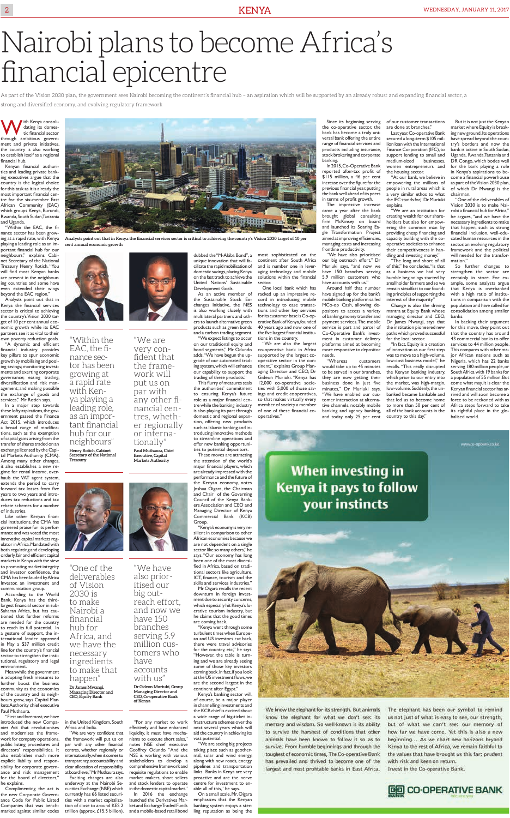With Kenya consoli-<br>tic financial sector<br>through ambitious govern dating its domestic fnancial sector through ambitious government and private initiatives, the country is also working to establish itself as a regional fnancial hub.

Kenyan fnancial authorities and leading private banking executives argue that the country is the logical choice for this task as it is already the most important fnancial centre for the six-member East African Community (EAC) which groups Kenya, Burundi, Rwanda, South Sudan, Tanzania and Uganda. "Within the EAC, the f-

nance sector has been growing at a rapid rate, with Kenya playing a leading role as an important fnancial hub for our neighbours," explains Cabinet Secretary of the National Treasury Henry Rotich. "You will fnd most Kenyan banks are present in the neighbouring countries and some have even extended their wings beyond the EAC region."

"A dynamic and efficient fnancial industry provides key pillars to spur economic growth by mobilising and pooling savings; monitoring investments and exerting corporate governance; easing trading, diversifcation and risk management; and making possible the exchange of goods and services," Mr Rotich says.

hauls the VAT agent system, extends the period to carry forward tax losses from five years to two years and introduces tax reductions and tax rebate schemes for a number of industries.

Analysts point out that in Kenya the fnancial services sector is critical to achieving the country's Vision 2030 target of 10 per cent annual economic growth while its EAC partners see it as vital to their own poverty reduction goals.

Like other Kenyan financial institutions, the CMA has garnered praise for its performance and was voted the most innovative capital markets regulator in Africa. Mandated with both regulating and developing orderly, fair and efficient capital markets in Kenya with the view to promoting market integrity and investor confdence, the CMA has been lauded by Africa Investor, an investment and communication group.

In a major step towards these lofty aspirations, the government passed the Finance Act 2015, which introduces a broad range of modifcations, such as the exemption of capital gains arising from the transfer of shares traded on an exchange licensed by the Capital Markets Authority (CMA). Among many other changes, it also establishes a new regime for rental income, over-

According to the World Bank, Kenya has the thirdlargest fnancial sector in sub-Saharan Africa, but has cautioned that further reforms are needed for the country to reach its full potential. In a gesture of support, the international lender approved in May a \$37 million credit line for the country's fnancial sector to strengthen the institutional, regulatory and legal environment.

This flurry of measures seals the authorities' commitment to ensuring Kenya's future role as a major fnancial centre while the banking industry is also playing its part through domestic and regional expansion, offering new products such as Islamic banking and introducing innovative methods to streamline operations and offer new banking opportunities to potential depositors.

Meanwhile the government is adopting fresh measures to further boost the business community as the economies of the country and its neighbours grow, says Capital Markets Authority chief executive Paul Muthaura.

"First and foremost, we have introduced the new Companies Act that revolutionises and modernises the framework for company operations, public listing procedures and directors' responsibilities. It also establishes much more explicit liability and responsibility for corporate governance and risk management for the board of directors,' he explains.

Complimenting the act is the new Corporate Governance Code for Public Listed Companies that was benchmarked against similar codes

![](_page_1_Picture_49.jpeg)

in the United Kingdom, South Africa and India.

"We are very confdent that the framework will put us on par with any other fnancial centres, whether regionally or internationally, when it comes to transparency, accountability and clear allocation of responsibility at board level," Mr Muthaura says. Exciting changes are also underway at the Nairobi Se-

curities Exchange (NSE) which currently has 66 listed securities with a market capitalization of close to around KES 2 trillion (approx. £15.5 billion).

"For any market to work effectively and have enhanced liquidity, it must have mechanisms to execute short sales," notes NSE chief executive Geoffrey Odundo. "And the NSE is working with various stakeholders to develop a comprehensive framework and requisite regulations to enable market makers, short sellers and stock lenders to operate in the domestic capital market." In 2016 the exchange launched the Derivatives Market and Exchange Traded Funds and a mobile-based retail bond

![](_page_1_Picture_14.jpeg)

the Sustainable Stock Exchanges Initiative, the NES is also working closely with multilateral partners and others to launch alternative green products such as green bonds and a carbon trading segment. "We expect listings to occur

Last year, Co-operative Bank secured a long-term \$105 million loan with the International Finance Corporation (IFC), to support lending to small and medium-sized businesses, women entrepreneurs and the housing sector.

on our traditional equity and bond segments," Mr Odundo adds. "We have begun the upgrade of our automated trading system, which will enhance our capability to support the trading of these products."

These moves are attracting the attention of the world's major fnancial players, which are already impressed with the

But it is not just the Kenyan market where Equity is breaking new ground. Its operations have spread beyond the country's borders and now the bank is active in South Sudan, Uganda, Rwanda, Tanzania and DR Congo, which bodes well for the bank playing a role in Kenya's aspirations to become a fnancial powerhouse as part of the Vision 2030 plan, of which Dr Mwangi is the chairman. "One of the deliverables of Vision 2030 is to make Nai-

performance and the future of the Kenyan economy, notes Joshua Oigara, the Chairman and Chair of the Governing Council of the Kenya Bankers Association and CEO and Managing Director of Kenya Commercial Bank (KCB) Group.

dubbed the "M-Akiba Bond", a unique innovation that will facilitate the rapid mobilisation of domestic savings, placing Kenya on the fast track to achieve the United Nations' Sustainable most sophisticated on the

"Kenya's economy is very resilient in comparison to other African economies because we are not dependent on a single sector like so many others," he says. "Our economy has long been one of the most diversifed in Africa, based on traditional sectors like agriculture, ICT, fnance, tourism and the skills and services industries."

Mr Oigara recalls the recent downturn in foreign investment due to security concerns, which especially hit Kenya's lucrative tourism industry, but he claims that the good times are coming back.

"Kenya went through some turbulent times when European and US investors cut back, there were travel advisories for the country, etc," he says. "However, the table is turning and we are already seeing some of those key investors coming back. In fact, if you look at the US investment flows, we are the second largest in the continent after Egypt."

Kenya's banking sector will, of course, be a major player in channelling investments and the KCB chief is excited about a wide range of big-ticket infrastructure schemes over the next several years which will aid the country in achieving its vast potential.

"We are seeing big projects taking place such as geothermal, solar and wind energy, along with new roads, energy pipelines and transportation links. Banks in Kenya are very proactive and are the nerve centre for investment to enable all of this," he says.

On a small scale, Mr. Oigara emphasizes that the Kenyan banking system enjoys a sterling reputation as being the

## **Kenya it pays to follow** your instincts

**When investing in** 

![](_page_1_Picture_63.jpeg)

We know the elephant for its strength. But animals know the elephant for what we don't see: its memory and wisdom. So well-known is its ability to survive the harshest of conditions that other animals have been known to follow it so as to survive. From humble beginnings and through the toughest of economic times, The Co-operative Bank has prevailed and thrived to become one of the largest and most profitable banks in East Africa.

The elephant has been our symbol to remind us not just of what is easy to see, our strength, but of what we can't see: our memory of how far we have come. Yet this is also a new beginning... As we chart new horizons beyond Kenya to the rest of Africa, we remain faithful to the values that have brought us this far: prudent with risk and keen on return. Invest in the Co-operative Bank.

![](_page_1_Picture_66.jpeg)

continent after South Africa and is number one in leveraging technology and mobile solutions within the fnancial sector. One local bank which has

racked up an impressive record in introducing mobile technology to ease transactions and other key services for its customer base is Co-operative Bank of Kenya, founded 40 years ago and now one of the fve largest fnancial institutions in the country.

"We are also the largest co-operative bank in Africa supported by the largest cooperative sector in the continent," explains Group Managing Director and CEO, Dr Gideon Muriuki. "Kenya has 12,000 co-operative societies with 5,000 of those savings and credit cooperatives, so that makes virtually every member of society a member of one of these fnancial cooperatives."

Since its beginning serving the co-operative sector, the bank has become a truly universal bank offering the entire range of fnancial services and products including insurance, stock brokering and corporate banking.

In 2015, Co-Operative Bank reported after-tax proft of \$115 million, a 46 per cent increase over the fgure for the previous fnancial year, putting the bank well ahead of its peers in terms of proft growth.

The impressive increase came a year after the bank brought global consulting firm McKinsey on board and launched its Soaring Eagle Transformation Project aimed at improving efficiencies, managing costs and increasing frontline productivity.

"We have also prioritised our big outreach effort," Dr Muriuki says, "and now we have 150 branches serving 5.9 million customers who have accounts with us."

Around half that number have signed up for the bank's mobile banking platform called MCo-op Cash, allowing depositors to access a variety of banking, money transfer and payment services. The mobile service is part and parcel of Co-Operative Bank's investment in customer delivery platforms aimed at becoming more responsive to depositor needs.

"Whereas customers would take up to 45 minutes to be served in our branches, they are now getting their business done in just five minutes," Dr Muriuki says. "We have enabled our customer interaction at alternative channels, notably mobile banking and agency banking, and today only 25 per cent

of our customer transactions are done at branches."

"At our bank, we believe in empowering the millions of people in rural areas which is a very similar ethos to what the IFC stands for," Dr Muriuki explains.

"We are an institution for creating wealth for our shareholders but also for empowering the common man by providing cheap fnancing and capacity building with the cooperative societies to enhance their competitiveness in handling and investing money."

"The long and short of all of this," he concludes, "is that as a business we had very humble beginnings started by smallholder farmers and so we remain steadfast to our founding principles of supporting the interest of the majority."

Change is also the driving mantra at Equity Bank whose managing director and CEO, Dr James Mwangi, says that the institution pioneered new paths which proved successful for the local sector.

"In fact, Equity is a creation of innovation as our frst step was to move to a high-volume, low-cost business model," he recalls. "This really disrupted the Kenyan banking industry, which prior to our entry into the market, was high-margin, low-volume. Suddenly, the unbanked became bankable and that led us to become home to more than 50 per cent of all of the bank accounts in the country to this day."

robi a fnancial hub for Africa," he argues, "and we have the necessary ingredients to make that happen, such as strong fnancial inclusion, well-educated human resources in the sector, an evolving regulatory framework and the political will needed for the transformation."

So further changes to strengthen the sector are certainly in store. For example, some analysts argue that Kenya is overbanked with a high ratio of institutions in comparison with the population and have called for consolidation among smaller banks.

In backing their argument for this move, they point out that the country has around 43 commercial banks to offer services to 44 million people. This compares with other major African nations such as Nigeria, which has 22 banks serving 180 million people, or South Africa with 19 banks for a population of 55 million. But come what may, it is clear the Kenyan fnancial sector has arrived and will soon become a force to be reckoned with as Africa steps forward to take its rightful place in the globalised world.

www.co-apbank.co.ke

# Nairobi plans to become Africa's financial epicentre

As part of the Vision 2030 plan, the government sees Nairobi becoming the continent's financial hub – an aspiration which will be supported by an already robust and expanding financial sector, a strong and diversified economy, and evolving regulatory framework

> "We are very confident that the framework will put us on par with any other financial centres, whether regionally or internationally" **Paul Muthaura, Chief**

**Executive, Capital Markets Authority**

"We have also prioritised our big out-

reach effort, and now we have 150 branches serving 5.9 million customers who

have

accounts with us"

**Dr Gideon Muriuki, Group Managing Director and CEO, Co-operative Bank** 

**of Kenya**

"Within the EAC, the finance sector has been growing at a rapid rate with Kenya playing a leading role, as an important financial hub for our neighbours" **Henry Rotich, Cabinet Secretary of the National** 

**Treasury**

"One of the deliverables of Vision 2030 is to make Nairobi a financial hub for Africa, and we have the necessary ingredients to make that happen"

**Dr James Mwangi, Managing Director and CEO, Equity Bank**

![](_page_1_Picture_10.jpeg)

**Analysts point out that in Kenya the financial services sector is critical to achieving the country's Vision 2030 target of 10 per cent annual economic growth**

![](_page_1_Picture_12.jpeg)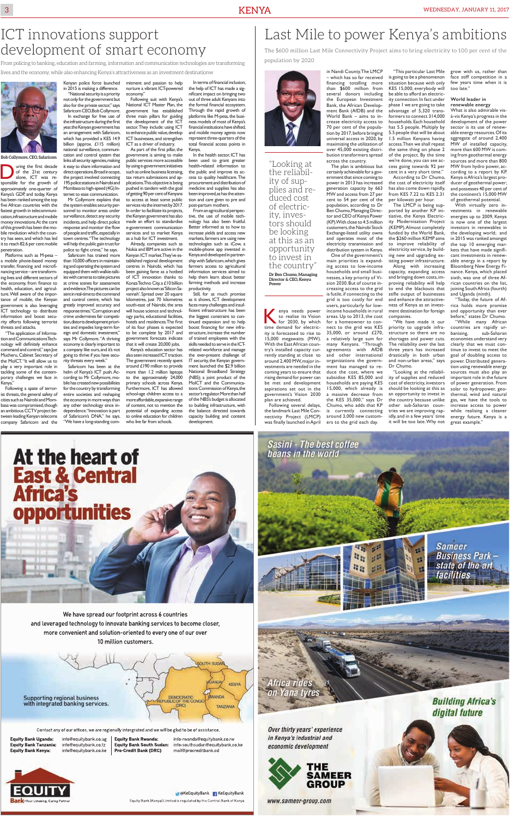# development of smart economy The \$600 million Last Mile Connectivity Project aims to bring electricity to 100 per cent of the

enya needs power<br>to realise its Vision<br>for 2030, by which<br>time demand for electric to realise its Vision for 2030, by which time demand for electricity is forecasted to rise to 15,000 megawatts (MW). With the East African country's installed capacity currently standing at close to around 2,400 MW, major investments are needed in the coming years to ensure that rising demand for power can be met and development aspirations set out in the government's Vision 2030 Following several delays, the landmark Last Mile Connectivity Project (LMCP) was fnally launched in April

plan are achieved.

in Nandi County. The LMCP – which has so far received fnancing totalling more than \$600 million from several donors including the European Investment Bank, the African Development Bank (AfDB) and the World Bank – aims to increase electricity access to 70 per cent of the population by 2017, before bringing universal access in 2020, by maximizing the utilization of over 45,000 existing distribution transformers spread across the country.

The plan is ambitious but certainly achievable for a government that since coming to power in 2013 has increased generation capacity by 663 MW and access from 27 per cent to 54 per cent of the population, according to Dr Ben Chumo, Managing Director and CEO of Kenya Power (KP). With close to 4.5 million customers, the Nairobi Stock Exchange-listed utility owns and operates most of the electricity transmission and distribution system in Kenya.

One of the government's main priorities is expanding access to low-income households and small businesses, a key priority of Vision 2030. But of course increasing access to the grid is futile, if connecting to the grid is too costly for end users, particularly for lowincome households in rural areas. Up to 2013, the cost for a homeowner to connect to the grid was KES 35,000, or around £270, a relatively large sum for many Kenyans. "Through agreements with AfDB and other international organizations the government has managed to reduce the cost, where we subsidise KES 85,000 and households are paying KES 15,000, which already is a massive decrease from the KES 35,000," says Dr Chumo, who adds that KP is currently connecting around 3,000 new customers to the grid each day.

岩野

"This particular Last Mile

With virtually zero investments in renewable energies up to 2009, Kenya is now one of the largest investors in renewables in the developing world; and in 2015 was ranked amongst the top 10 emerging markets that have made signifcant investments in renewable energy in a report by Bloomberg New Energy Finance. Kenya, which placed sixth, was one of three African countries on the list, joining South Africa (fourth) and Uganda (ninth).

is going to be a phenomenon situation because with only KES 15,000, everybody will be able to afford an electricity connection. In fact under phase 1 we are going to take advantage of 5,320 transformers to connect 314,000 households. Each household has 5.5 people. Multiply by 5.5 people that will be about 1.5 million Kenyans having access. Then we shall repeat the same thing on phase 2 of the project. By the time we're done, you can see access going towards 92 per cent in a very short time."

According to Dr Chumo, the cost of electricity itself has also come down rapidly, from KES 7.22 to KES 2.31 per kilowatt per hour.

From policing to banking, education and farming, information and communication technologies are transforming Population by 2020 lives and the economy, while also enhancing Kenya's attractiveness as an investment destinationw

> The LMCP is being supported by another KP initiative, the Kenya Electricity Modernisation Project (KEMP). Almost completely funded by the World Bank, the \$260 million KEMP aims to improve reliability of electricity service, by building new and upgrading existing power infrastructure.

The first decade of the 21st century<br>alone, ICT was re-<br>sponsible for the growth of of the 21st century sponsible for the growth of approximately one-quarter of Kenya's GDP, and today, Kenya has been ranked among the top five African countries with the fastest growth in telecommunication, infrastructure and mobile money innovations. At the core of this growth has been the mobile revolution which the country has seen, and which has led it to reach 82.6 per cent mobile penetration.

> Along with increasing capacity, expanding access and bringing down costs, improving reliability will help to end the blackouts that stifle output of businesses and enhance the attractiveness of Kenya as an investment destination for foreign companies.

"The application of Information and Communications Technology will defnitely enhance command and control," says Joe Mucheru, Cabinet Secretary of the MoICT. "It will allow us to play a very important role in tackling some of the contemporary challenges we face in Kenya."

"We have made it our priority to upgrade infrastructure so there are no shortages and power cuts. The reliability over the last three years has increased drastically in both urban and non-urban areas," says Dr Chumo.

"Looking at the reliability of supplies and reduced cost of electricity, investors should be looking at this as an opportunity to invest in the country because unlike other sub-Saharan countries we are improving rapidly, and in a few years' time it will be too late. Why not

the infrastructure during the first year, the Kenyan government has an arrangement with Safaricom, which has provided a KES 14.9 billion (approx. £115 million)

grow with us, rather than face stiff competition in a few years time when it is too late."

#### **World leader in renewable energy**

What is also admirable visà-vis Kenya's progress in the development of the power sector is its use of renewable energy resources. Of its aggregate of around 2,400 MW of installed capacity, more than 600 MW is coming from geothermal energy sources and more than 800 MW from hydro power, according to a report by KP. Kenya is Africa's largest producer of geothermal power; and possesses 40 per cent of the continent's 15,000 MW of geothermal potential.

"Today, the future of Africa holds more promise and opportunity than ever before," states Dr Chumo.

"While many African countries are rapidly urbanising, sub-Saharan economies understand very clearly that we must continue to invest to meet the goal of doubling access to power. Distributed generation using renewable energy sources must also play an important role in the future of power generation. From solar to hydropower, geothermal, wind and natural gas, we have the tools to increase access to power while realising a cleaner energy future. Kenya is a great example."

At the heart of

## **East & Central<br>Africa's** opportunities

We have spread our footprint across 6 countries and leveraged technology to innovate banking services to become closer, more convenient and solution-oriented to every one of our over 10 million customers.

![](_page_2_Picture_45.jpeg)

Contact any of our offices, we are regionally intergrated and we will be glad to be of assistance.

**Equity Bank Uganda: Equity Bank Tanzania: Equity Bank Kenya:** 

info@equitybank.co.ug info@equitybank.co.tz info@equitybank.co.ke

**Equity Bank Rwanda: Pro-Credit Bank (DRC)** 

info-rwanda@equitybank.co.rw Equity Bank South Sudan: info-southsudan@equitybank.co.ke mail@procreditbank.cd

![](_page_2_Picture_51.jpeg)

**EXECUTE ARE ARE ARE ARE ARE ARE ARE ARE ARE** Equity Bank (Kenya) Limited is regulated by the Central Bank of Kenya

![](_page_2_Picture_53.jpeg)

Over thirty years' experience in Kenya's industrial and economic development

![](_page_2_Picture_55.jpeg)

www.sameer-group.com

**Sameer Business Park** state of the art<br>facilities

**Building Africa's** digital future

"Looking at the reliability of supplies and reduced cost of electricity, investors should be looking at this as an opportunity to invest in the country" **Dr Ben Chumo, Managing Director & CEO, Kenya Power**

Platforms such as M-pesa – a mobile phone-based money transfer, fnancing and microfnancing service – are transforming lives and different sectors of the economy, from fnance to health, education, and agriculture. Well aware of the importance of mobile, the Kenyan government is also leveraging ICT technology to distribute information and boost security efforts following terrorist threats and attacks.

Following a spate of terrorist threats, the general safety of cities such as Nairobi and Mombasa was compromised, though an ambitious CCTV project between leading Kenyan telecoms company Safaricom and the

surveillance, detect any security incidents, and help direct police response and monitor the flow of people and traffic, especially in town centres. "The technology will help the public gain trust for police to fght crime," he says.

Kenyan police force launched in 2015 is making a difference. "National security is a priority mitment and passion to help nurture a vibrant ICT-powered economy."

not only for the government but also for the private sector," says Safaricom CEO, Bob Collymore. In exchange for free use of Following suit with Kenya's National ICT Master Plan, the government has established three main pillars for guiding the development of the ICT

Safaricom has trained more than 10,000 officers in maintaining and operating the system and equipped them with walkie-talkies with cameras to take pictures at crime scenes for assessment and evidence. The pictures can be sent in real-time to the command and control centre, which has greatly improved accuracy and response times. "Corruption and crime undermines fair competition, distorts development priorities and impedes long-term foreign and domestic investment," says Mr Collymore. "A thriving economy is clearly important to a company like ours, and it's not

national surveillance, communication and control system that links all security agencies, making it easy to share information and direct operations. Broad in scope, the project involved connecting 195 police stations in Nairobi and Mombasa to high-speed (4G) Internet to ease communication. Mr Collymore explains that the system enables security personnel to monitor areas under government is aiming to make public services more accessible by using e-government initiatives such as online business licensing, tax return submissions and applications. This objective is being pushed in tandem with the goal of getting 90 per cent of Kenyans to access at least some public services via the internet by 2017. In order to facilitate its projects,

ICT as a driver of industry.

going to thrive if you have security threats every week." Safaricom has been at the helm of Kenya's ICT push. According to Mr Collymore, mobile has created new possibilities for the country by transforming entire societies and reshaping the economy in more ways than any other technology since independence. "Innovation is part of Safaricom's DNA," he says. "We have a long-standing comalso seen increased ICT traction. The government recently spent around £190 million to provide more than 1.2 million laptops to the approximately 24,000 primary schools across Kenya. Furthermore, ICT has allowed school-age children access to a more affordable, expansive range of content, not to mention the potential of expanding access to online education for children who live far from schools.

the Kenyan government has also made an effort to standardise e-government communication services and to market Kenya as a hub for ICT investment. Already, companies such as Nokia and IBM are active in the Kenyan ICT market. They've established regional development centres in Nairobi, which has been gaining fame as a hotbed of ICT innovation thanks to Konza Techno City, a £10 billion project also known as 'Silicon Savannah'. Spread over 20 square kilometres, just 70 kilometres south-east of Nairobi, the area will house science and technology parks, educational facilities, hotels and residences. The first of its four phases is expected to be complete by 2017 and government forecasts indicate that it will create 20,000 jobs. Kenya's education sector has

![](_page_2_Picture_4.jpeg)

sector. They include: using ICT to enhance public value, develop ICT businesses, and strengthen As part of the frst pillar, the In terms of fnancial inclusion, the help of ICT has made a signifcant impact on bringing two out of three adult Kenyans into the formal fnancial ecosystem. Through the rapid growth of platforms like M-pesa, the business models of most of Kenya's fnancial institutions have shifted, and mobile money agents now represent three-quarters of the total fnancial access points in Kenya.

In the health sector, ICT has been used to grant greater health-related information to the public and improve its access to quality healthcare. The procurement and distribution of medicine and supplies has also been improved, as has the attention and care given to pre and post-partum mothers.

From an agricultural perspective, the use of mobile technology has also been fruitful. Better informed as to how to increase yields and access new markets, farmers are using new technologies such as iCow, a mobile-phone app invented in Kenya and developed in partnership with Safaricom, which gives farmers access to agricultural information services aimed to help them learn about better farming methods and increase productivity.

Still, for as much promise as it shows, ICT development faces many challenges and insufficient infrastructure has been the biggest constraint to continued expansion and to help boost fnancing for new infrastructure, increase the number of trained employees with the skills needed to serve in the ICTrelated workforce and manage the ever-present challenge of IT security, the Kenyan government launched the \$2.9 billion National Broadband Strategy (NBS); a joint product of the MoICT and the Communications Commission of Kenya, the sector's regulator. More than half of the NBS's budget is allocated to building infrastructure, with the balance directed towards capacity building and content development.

### ICT innovations support and  $|$  Last Mile to power Kenya's ambitions

![](_page_2_Picture_23.jpeg)

**Bob Collymore, CEO, Safaricom**